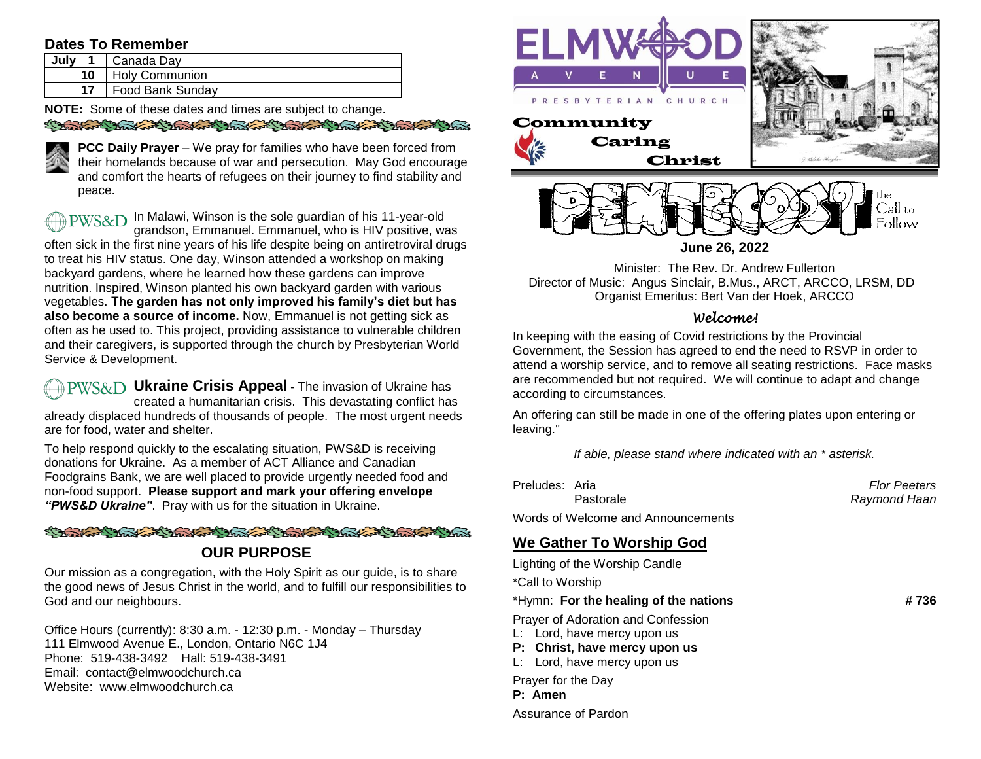# **Dates To Remember**

| July | Canada Day            |
|------|-----------------------|
| 10   | <b>Holy Communion</b> |
| 17   | Food Bank Sunday      |

**NOTE:** Some of these dates and times are subject to change.

SO STATE CONTRACTOR CONTRACTOR CONTRACTOR



**PCC Daily Prayer** – We pray for families who have been forced from their homelands because of war and persecution. May God encourage and comfort the hearts of refugees on their journey to find stability and peace.

 $PWSSCD$  In Malawi, Winson is the sole guardian of his 11-year-old grandson, Emmanuel. Emmanuel, who is HIV positive, was often sick in the first nine years of his life despite being on antiretroviral drugs to treat his HIV status. One day, Winson attended a workshop on making backyard gardens, where he learned how these gardens can improve nutrition. Inspired, Winson planted his own backyard garden with various vegetables. **The garden has not only improved his family's diet but has also become a source of income.** Now, Emmanuel is not getting sick as often as he used to. This project, providing assistance to vulnerable children and their caregivers, is supported through the church by Presbyterian World Service & Development.

**PWS&D** Ukraine Crisis Appeal - The invasion of Ukraine has created a humanitarian crisis. This devastating conflict has already displaced hundreds of thousands of people. The most urgent needs are for food, water and shelter.

To help respond quickly to the escalating situation, PWS&D is receiving donations for Ukraine. As a member of ACT Alliance and Canadian Foodgrains Bank, we are well placed to provide urgently needed food and non-food support. **Please support and mark your offering envelope**  *"PWS&D Ukraine"*. Pray with us for the situation in Ukraine.

### A BARA ANG KABALANG ANG ANG KABALANG ANG KABALANG ANG KABALANG ANG KABALANG ANG KABALANG ANG KABALANG ANG KABALANG ANG KABALANG ANG KABALANG ANG KABALANG ANG KABALANG ANG KABALANG ANG KABALANG ANG KABALANG ANG KABALANG ANG

# **OUR PURPOSE**

Our mission as a congregation, with the Holy Spirit as our guide, is to share the good news of Jesus Christ in the world, and to fulfill our responsibilities to God and our neighbours.

Office Hours (currently): 8:30 a.m. - 12:30 p.m. - Monday – Thursday 111 Elmwood Avenue E., London, Ontario N6C 1J4 Phone: 519-438-3492 Hall: 519-438-3491 Email: contact@elmwoodchurch.ca Website: www.elmwoodchurch.ca



**June 26, 2022**

Minister: The Rev. Dr. Andrew Fullerton Director of Music: Angus Sinclair, B.Mus., ARCT, ARCCO, LRSM, DD Organist Emeritus: Bert Van der Hoek, ARCCO

### *Welcome!*

In keeping with the easing of Covid restrictions by the Provincial Government, the Session has agreed to end the need to RSVP in order to attend a worship service, and to remove all seating restrictions. Face masks are recommended but not required. We will continue to adapt and change according to circumstances.

An offering can still be made in one of the offering plates upon entering or leaving."

*If able, please stand where indicated with an \* asterisk.*

| Preludes: Aria |           | <b>Flor Peeters</b> |
|----------------|-----------|---------------------|
|                | Pastorale | Raymond Haan        |

Words of Welcome and Announcements

# **We Gather To Worship God**

Lighting of the Worship Candle \*Call to Worship \*Hymn: **For the healing of the nations # 736** Prayer of Adoration and Confession L: Lord, have mercy upon us **P: Christ, have mercy upon us** L: Lord, have mercy upon us Prayer for the Day

**P: Amen**

Assurance of Pardon